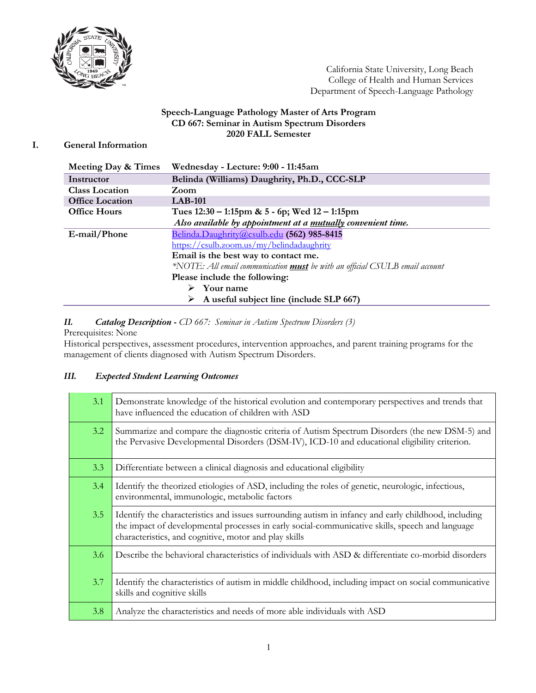

California State University, Long Beach College of Health and Human Services Department of Speech-Language Pathology

### **Speech-Language Pathology Master of Arts Program CD 667: Seminar in Autism Spectrum Disorders 2020 FALL Semester**

# **I. General Information**

| Meeting Day & Times    | Wednesday - Lecture: 9:00 - 11:45am                                                |
|------------------------|------------------------------------------------------------------------------------|
| Instructor             | Belinda (Williams) Daughrity, Ph.D., CCC-SLP                                       |
| <b>Class Location</b>  | Zoom                                                                               |
| <b>Office Location</b> | $LAB-101$                                                                          |
| <b>Office Hours</b>    | Tues $12:30 - 1:15$ pm & 5 - 6p; Wed $12 - 1:15$ pm                                |
|                        | Also available by appointment at a mutually convenient time.                       |
| E-mail/Phone           | Belinda.Daughrity@csulb.edu (562) 985-8415                                         |
|                        | https://csulb.zoom.us/my/belindadaughrity                                          |
|                        | Email is the best way to contact me.                                               |
|                        | *NOTE: All email communication <b>must</b> be with an official CSULB email account |
|                        | Please include the following:                                                      |
|                        | Your name                                                                          |
|                        | A useful subject line (include SLP 667)<br>➤                                       |

### *II. Catalog Description - CD 667: Seminar in Autism Spectrum Disorders (3)*

Prerequisites: None

Historical perspectives, assessment procedures, intervention approaches, and parent training programs for the management of clients diagnosed with Autism Spectrum Disorders.

# *III. Expected Student Learning Outcomes*

| 3.1 | Demonstrate knowledge of the historical evolution and contemporary perspectives and trends that<br>have influenced the education of children with ASD                                                                                                            |
|-----|------------------------------------------------------------------------------------------------------------------------------------------------------------------------------------------------------------------------------------------------------------------|
| 3.2 | Summarize and compare the diagnostic criteria of Autism Spectrum Disorders (the new DSM-5) and<br>the Pervasive Developmental Disorders (DSM-IV), ICD-10 and educational eligibility criterion.                                                                  |
| 3.3 | Differentiate between a clinical diagnosis and educational eligibility                                                                                                                                                                                           |
| 3.4 | Identify the theorized etiologies of ASD, including the roles of genetic, neurologic, infectious,<br>environmental, immunologic, metabolic factors                                                                                                               |
| 3.5 | Identify the characteristics and issues surrounding autism in infancy and early childhood, including<br>the impact of developmental processes in early social-communicative skills, speech and language<br>characteristics, and cognitive, motor and play skills |
| 3.6 | Describe the behavioral characteristics of individuals with ASD & differentiate co-morbid disorders                                                                                                                                                              |
| 3.7 | Identify the characteristics of autism in middle childhood, including impact on social communicative<br>skills and cognitive skills                                                                                                                              |
| 3.8 | Analyze the characteristics and needs of more able individuals with ASD                                                                                                                                                                                          |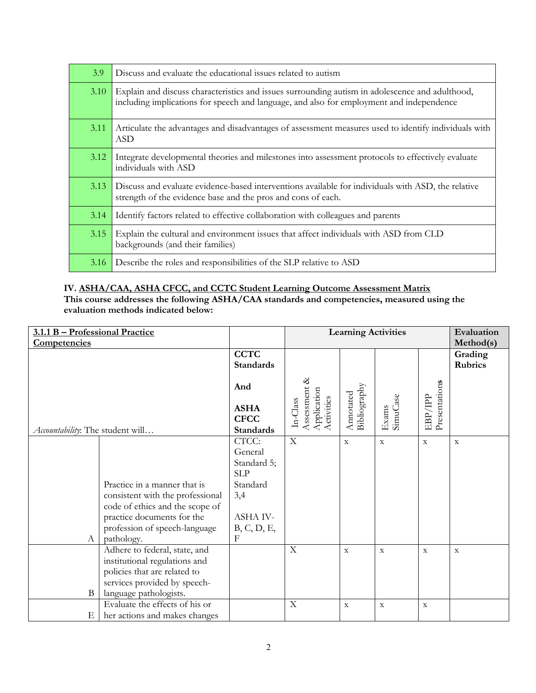| 3.9  | Discuss and evaluate the educational issues related to autism                                                                                                                               |
|------|---------------------------------------------------------------------------------------------------------------------------------------------------------------------------------------------|
| 3.10 | Explain and discuss characteristics and issues surrounding autism in adolescence and adulthood,<br>including implications for speech and language, and also for employment and independence |
| 3.11 | Articulate the advantages and disadvantages of assessment measures used to identify individuals with<br><b>ASD</b>                                                                          |
| 3.12 | Integrate developmental theories and milestones into assessment protocols to effectively evaluate<br>individuals with ASD                                                                   |
| 3.13 | Discuss and evaluate evidence-based interventions available for individuals with ASD, the relative<br>strength of the evidence base and the pros and cons of each.                          |
| 3.14 | Identify factors related to effective collaboration with colleagues and parents                                                                                                             |
| 3.15 | Explain the cultural and environment issues that affect individuals with ASD from CLD<br>backgrounds (and their families)                                                                   |
| 3.16 | Describe the roles and responsibilities of the SLP relative to ASD                                                                                                                          |

# **IV. ASHA/CAA, ASHA CFCC, and CCTC Student Learning Outcome Assessment Matrix**

**This course addresses the following ASHA/CAA standards and competencies, measured using the evaluation methods indicated below:**

| 3.1.1 B - Professional Practice  |                                  |                                                |                                                         | <b>Learning Activities</b> |                   |                          | Evaluation                |
|----------------------------------|----------------------------------|------------------------------------------------|---------------------------------------------------------|----------------------------|-------------------|--------------------------|---------------------------|
| Competencies                     |                                  |                                                |                                                         |                            |                   |                          | Method(s)                 |
|                                  |                                  | <b>CCTC</b><br><b>Standards</b>                |                                                         |                            |                   |                          | Grading<br><b>Rubrics</b> |
|                                  |                                  |                                                |                                                         |                            |                   |                          |                           |
|                                  |                                  | And                                            |                                                         |                            |                   |                          |                           |
| Accountability: The student will |                                  | <b>ASHA</b><br><b>CFCC</b><br><b>Standards</b> | Assessment &<br>Application<br>Activities<br>$In-Class$ | Bibliography<br>Annotated  | SimuCase<br>Exams | Presentations<br>EBP/IPP |                           |
|                                  |                                  | CTCC:                                          | $\boldsymbol{\mathrm{X}}$                               | $\mathbf X$                | $\mathbf X$       | $\mathbf X$              | $\mathbf X$               |
|                                  |                                  | General                                        |                                                         |                            |                   |                          |                           |
|                                  |                                  | Standard 5;                                    |                                                         |                            |                   |                          |                           |
|                                  |                                  | <b>SLP</b>                                     |                                                         |                            |                   |                          |                           |
|                                  | Practice in a manner that is     | Standard                                       |                                                         |                            |                   |                          |                           |
|                                  | consistent with the professional | 3,4                                            |                                                         |                            |                   |                          |                           |
|                                  | code of ethics and the scope of  |                                                |                                                         |                            |                   |                          |                           |
|                                  | practice documents for the       | ASHA IV-                                       |                                                         |                            |                   |                          |                           |
|                                  | profession of speech-language    | B, C, D, E,                                    |                                                         |                            |                   |                          |                           |
| A                                | pathology.                       | $\mathbf{F}$                                   |                                                         |                            |                   |                          |                           |
|                                  | Adhere to federal, state, and    |                                                | $\mathbf X$                                             | $\mathbf X$                | $\mathbf X$       | $\mathbf X$              | $\mathbf X$               |
|                                  | institutional regulations and    |                                                |                                                         |                            |                   |                          |                           |
|                                  | policies that are related to     |                                                |                                                         |                            |                   |                          |                           |
|                                  | services provided by speech-     |                                                |                                                         |                            |                   |                          |                           |
| B                                | language pathologists.           |                                                |                                                         |                            |                   |                          |                           |
|                                  | Evaluate the effects of his or   |                                                | X                                                       | $\mathbf X$                | $\mathbf X$       | $\mathbf X$              |                           |
| Ε                                | her actions and makes changes    |                                                |                                                         |                            |                   |                          |                           |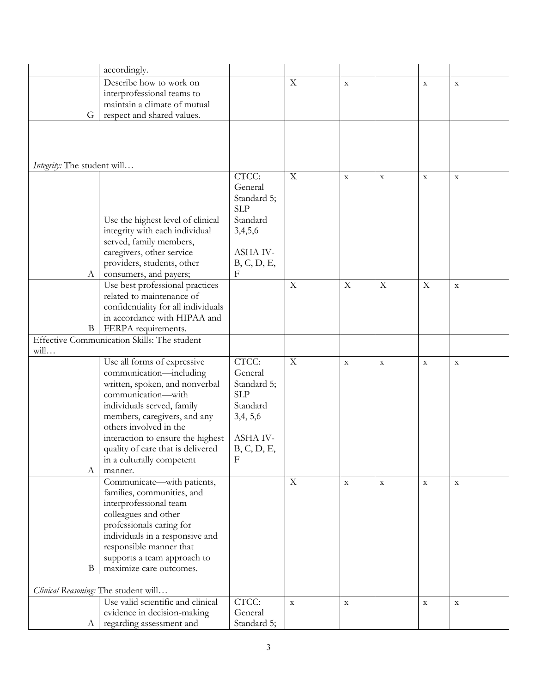|                             | accordingly.                                |                  |             |             |             |             |             |
|-----------------------------|---------------------------------------------|------------------|-------------|-------------|-------------|-------------|-------------|
|                             | Describe how to work on                     |                  | $\mathbf X$ | $\mathbf X$ |             | $\mathbf X$ | $\mathbf X$ |
|                             | interprofessional teams to                  |                  |             |             |             |             |             |
|                             | maintain a climate of mutual                |                  |             |             |             |             |             |
| G                           | respect and shared values.                  |                  |             |             |             |             |             |
|                             |                                             |                  |             |             |             |             |             |
|                             |                                             |                  |             |             |             |             |             |
|                             |                                             |                  |             |             |             |             |             |
|                             |                                             |                  |             |             |             |             |             |
| Integrity: The student will |                                             |                  |             |             |             |             |             |
|                             |                                             | CTCC:            | $\mathbf X$ | $\mathbf X$ | $\mathbf X$ | $\mathbf X$ | $\mathbf X$ |
|                             |                                             | General          |             |             |             |             |             |
|                             |                                             | Standard 5;      |             |             |             |             |             |
|                             |                                             | <b>SLP</b>       |             |             |             |             |             |
|                             | Use the highest level of clinical           | Standard         |             |             |             |             |             |
|                             | integrity with each individual              | 3,4,5,6          |             |             |             |             |             |
|                             | served, family members,                     |                  |             |             |             |             |             |
|                             | caregivers, other service                   | <b>ASHA IV-</b>  |             |             |             |             |             |
|                             | providers, students, other                  | B, C, D, E,      |             |             |             |             |             |
| A                           | consumers, and payers;                      | $_{\rm F}$       |             |             |             |             |             |
|                             | Use best professional practices             |                  | $\mathbf X$ | X           | $\mathbf X$ | $\mathbf X$ | $\mathbf X$ |
|                             | related to maintenance of                   |                  |             |             |             |             |             |
|                             | confidentiality for all individuals         |                  |             |             |             |             |             |
|                             | in accordance with HIPAA and                |                  |             |             |             |             |             |
| B                           | FERPA requirements.                         |                  |             |             |             |             |             |
|                             | Effective Communication Skills: The student |                  |             |             |             |             |             |
| will                        |                                             |                  |             |             |             |             |             |
|                             | Use all forms of expressive                 | CTCC:            | $\mathbf X$ | $\mathbf X$ | $\mathbf X$ | $\mathbf X$ | $\mathbf X$ |
|                             | communication-including                     | General          |             |             |             |             |             |
|                             | written, spoken, and nonverbal              | Standard 5;      |             |             |             |             |             |
|                             | communication-with                          | <b>SLP</b>       |             |             |             |             |             |
|                             | individuals served, family                  | Standard         |             |             |             |             |             |
|                             | members, caregivers, and any                | 3,4, 5,6         |             |             |             |             |             |
|                             | others involved in the                      |                  |             |             |             |             |             |
|                             | interaction to ensure the highest           | ASHA IV-         |             |             |             |             |             |
|                             | quality of care that is delivered           | B, C, D, E,<br>F |             |             |             |             |             |
|                             | in a culturally competent                   |                  |             |             |             |             |             |
| А                           | manner.<br>Communicate-with patients,       |                  | $\mathbf X$ |             |             |             |             |
|                             | families, communities, and                  |                  |             | $\mathbf X$ | $\mathbf X$ | $\mathbf X$ | $\mathbf X$ |
|                             | interprofessional team                      |                  |             |             |             |             |             |
|                             | colleagues and other                        |                  |             |             |             |             |             |
|                             | professionals caring for                    |                  |             |             |             |             |             |
|                             | individuals in a responsive and             |                  |             |             |             |             |             |
|                             | responsible manner that                     |                  |             |             |             |             |             |
|                             | supports a team approach to                 |                  |             |             |             |             |             |
| B                           | maximize care outcomes.                     |                  |             |             |             |             |             |
|                             |                                             |                  |             |             |             |             |             |
|                             | Clinical Reasoning: The student will        |                  |             |             |             |             |             |
|                             | Use valid scientific and clinical           | CTCC:            | $\mathbf X$ | $\mathbf X$ |             | $\mathbf X$ | $\mathbf X$ |
|                             | evidence in decision-making                 | General          |             |             |             |             |             |
| A                           | regarding assessment and                    | Standard 5;      |             |             |             |             |             |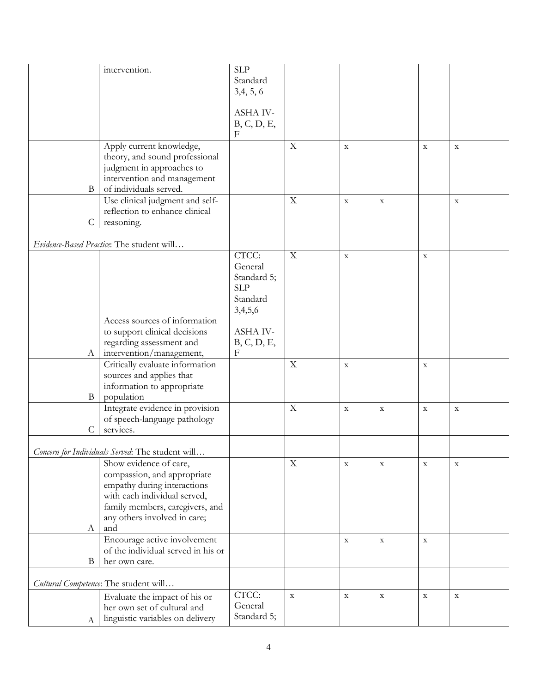|               | intervention.                                               | <b>SLP</b>  |             |             |             |             |             |
|---------------|-------------------------------------------------------------|-------------|-------------|-------------|-------------|-------------|-------------|
|               |                                                             | Standard    |             |             |             |             |             |
|               |                                                             | 3,4,5,6     |             |             |             |             |             |
|               |                                                             |             |             |             |             |             |             |
|               |                                                             | ASHA IV-    |             |             |             |             |             |
|               |                                                             | B, C, D, E, |             |             |             |             |             |
|               |                                                             | $\mathbf F$ |             |             |             |             |             |
|               | Apply current knowledge,                                    |             | $\mathbf X$ | $\mathbf X$ |             | $\mathbf X$ | $\mathbf X$ |
|               | theory, and sound professional                              |             |             |             |             |             |             |
|               | judgment in approaches to                                   |             |             |             |             |             |             |
|               | intervention and management                                 |             |             |             |             |             |             |
| B             | of individuals served.                                      |             |             |             |             |             |             |
|               | Use clinical judgment and self-                             |             | $\mathbf X$ | $\mathbf X$ | $\mathbf X$ |             | $\mathbf X$ |
|               | reflection to enhance clinical                              |             |             |             |             |             |             |
| $\mathcal{C}$ | reasoning.                                                  |             |             |             |             |             |             |
|               | Evidence-Based Practice: The student will                   |             |             |             |             |             |             |
|               |                                                             | CTCC:       | $\mathbf X$ | $\mathbf X$ |             | $\mathbf X$ |             |
|               |                                                             | General     |             |             |             |             |             |
|               |                                                             | Standard 5; |             |             |             |             |             |
|               |                                                             | <b>SLP</b>  |             |             |             |             |             |
|               |                                                             | Standard    |             |             |             |             |             |
|               |                                                             | 3,4,5,6     |             |             |             |             |             |
|               | Access sources of information                               |             |             |             |             |             |             |
|               | to support clinical decisions                               | ASHA IV-    |             |             |             |             |             |
|               | regarding assessment and                                    | B, C, D, E, |             |             |             |             |             |
| A             | intervention/management,                                    | $\mathbf F$ | $\mathbf X$ |             |             |             |             |
|               | Critically evaluate information<br>sources and applies that |             |             | $\mathbf X$ |             | $\mathbf X$ |             |
|               | information to appropriate                                  |             |             |             |             |             |             |
| $\mathbf{B}$  | population                                                  |             |             |             |             |             |             |
|               | Integrate evidence in provision                             |             | $\mathbf X$ | $\mathbf X$ | $\mathbf X$ | $\mathbf X$ | $\mathbf X$ |
|               | of speech-language pathology                                |             |             |             |             |             |             |
| $\mathsf{C}$  | services.                                                   |             |             |             |             |             |             |
|               |                                                             |             |             |             |             |             |             |
|               | Concern for Individuals Served: The student will.           |             |             |             |             |             |             |
|               | Show evidence of care,                                      |             | $\mathbf X$ | $\mathbf X$ | $\mathbf X$ | $\mathbf X$ | $\mathbf X$ |
|               | compassion, and appropriate                                 |             |             |             |             |             |             |
|               | empathy during interactions                                 |             |             |             |             |             |             |
|               | with each individual served,                                |             |             |             |             |             |             |
|               | family members, caregivers, and                             |             |             |             |             |             |             |
|               | any others involved in care;                                |             |             |             |             |             |             |
| A             | and                                                         |             |             |             |             |             |             |
|               | Encourage active involvement                                |             |             | $\mathbf X$ | $\mathbf X$ | $\mathbf X$ |             |
|               | of the individual served in his or                          |             |             |             |             |             |             |
| B             | her own care.                                               |             |             |             |             |             |             |
|               | Cultural Competence: The student will                       |             |             |             |             |             |             |
|               | Evaluate the impact of his or                               | CTCC:       | $\mathbf X$ | $\mathbf X$ | $\mathbf X$ | $\mathbf X$ | $\mathbf X$ |
|               | her own set of cultural and                                 | General     |             |             |             |             |             |
| А             | linguistic variables on delivery                            | Standard 5; |             |             |             |             |             |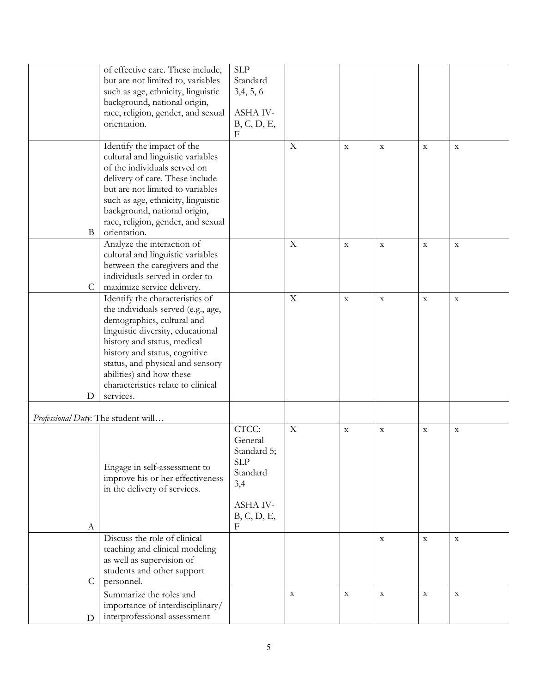|                                     | of effective care. These include,  | <b>SLP</b>  |             |             |             |             |             |
|-------------------------------------|------------------------------------|-------------|-------------|-------------|-------------|-------------|-------------|
|                                     | but are not limited to, variables  | Standard    |             |             |             |             |             |
|                                     | such as age, ethnicity, linguistic | 3,4,5,6     |             |             |             |             |             |
|                                     | background, national origin,       |             |             |             |             |             |             |
|                                     | race, religion, gender, and sexual | ASHA IV-    |             |             |             |             |             |
|                                     | orientation.                       | B, C, D, E, |             |             |             |             |             |
|                                     |                                    | F           |             |             |             |             |             |
|                                     | Identify the impact of the         |             | $\mathbf X$ | $\mathbf X$ | $\mathbf X$ | $\mathbf X$ | $\mathbf X$ |
|                                     | cultural and linguistic variables  |             |             |             |             |             |             |
|                                     | of the individuals served on       |             |             |             |             |             |             |
|                                     | delivery of care. These include    |             |             |             |             |             |             |
|                                     | but are not limited to variables   |             |             |             |             |             |             |
|                                     | such as age, ethnicity, linguistic |             |             |             |             |             |             |
|                                     | background, national origin,       |             |             |             |             |             |             |
|                                     | race, religion, gender, and sexual |             |             |             |             |             |             |
| B                                   | orientation.                       |             |             |             |             |             |             |
|                                     | Analyze the interaction of         |             | $\mathbf X$ | $\mathbf X$ | $\mathbf X$ | $\mathbf X$ | $\mathbf X$ |
|                                     | cultural and linguistic variables  |             |             |             |             |             |             |
|                                     | between the caregivers and the     |             |             |             |             |             |             |
|                                     | individuals served in order to     |             |             |             |             |             |             |
| C                                   | maximize service delivery.         |             |             |             |             |             |             |
|                                     | Identify the characteristics of    |             | $\mathbf X$ | $\mathbf X$ | $\mathbf X$ | $\mathbf X$ | $\mathbf X$ |
|                                     | the individuals served (e.g., age, |             |             |             |             |             |             |
|                                     | demographics, cultural and         |             |             |             |             |             |             |
|                                     | linguistic diversity, educational  |             |             |             |             |             |             |
|                                     | history and status, medical        |             |             |             |             |             |             |
|                                     | history and status, cognitive      |             |             |             |             |             |             |
|                                     | status, and physical and sensory   |             |             |             |             |             |             |
|                                     | abilities) and how these           |             |             |             |             |             |             |
|                                     | characteristics relate to clinical |             |             |             |             |             |             |
| D                                   | services.                          |             |             |             |             |             |             |
|                                     |                                    |             |             |             |             |             |             |
| Professional Duty: The student will |                                    |             |             |             |             |             |             |
|                                     |                                    | CTCC:       | $\mathbf X$ | $\mathbf X$ | $\mathbf X$ | $\mathbf X$ | $\mathbf X$ |
|                                     |                                    | General     |             |             |             |             |             |
|                                     |                                    | Standard 5; |             |             |             |             |             |
|                                     | Engage in self-assessment to       | <b>SLP</b>  |             |             |             |             |             |
|                                     | improve his or her effectiveness   | Standard    |             |             |             |             |             |
|                                     | in the delivery of services.       | 3,4         |             |             |             |             |             |
|                                     |                                    |             |             |             |             |             |             |
|                                     |                                    | ASHA IV-    |             |             |             |             |             |
|                                     |                                    | B, C, D, E, |             |             |             |             |             |
| A                                   |                                    | F           |             |             |             |             |             |
|                                     | Discuss the role of clinical       |             |             |             | $\mathbf X$ | $\mathbf X$ | $\mathbf X$ |
|                                     | teaching and clinical modeling     |             |             |             |             |             |             |
|                                     | as well as supervision of          |             |             |             |             |             |             |
|                                     | students and other support         |             |             |             |             |             |             |
| C                                   | personnel.                         |             |             |             |             |             |             |
|                                     | Summarize the roles and            |             | $\mathbf X$ | $\mathbf X$ | $\mathbf X$ | $\mathbf X$ | $\mathbf X$ |
|                                     | importance of interdisciplinary/   |             |             |             |             |             |             |
| D                                   | interprofessional assessment       |             |             |             |             |             |             |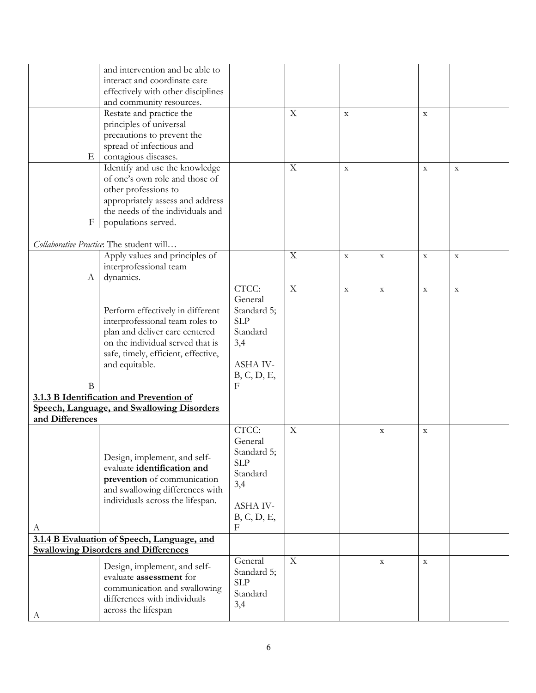|                 | and intervention and be able to             |                  |             |             |             |             |             |
|-----------------|---------------------------------------------|------------------|-------------|-------------|-------------|-------------|-------------|
|                 | interact and coordinate care                |                  |             |             |             |             |             |
|                 | effectively with other disciplines          |                  |             |             |             |             |             |
|                 | and community resources.                    |                  |             |             |             |             |             |
|                 | Restate and practice the                    |                  | X           | $\mathbf X$ |             | $\mathbf X$ |             |
|                 | principles of universal                     |                  |             |             |             |             |             |
|                 | precautions to prevent the                  |                  |             |             |             |             |             |
|                 | spread of infectious and                    |                  |             |             |             |             |             |
| $E_{\parallel}$ | contagious diseases.                        |                  |             |             |             |             |             |
|                 | Identify and use the knowledge              |                  | $\mathbf X$ | $\mathbf X$ |             | $\mathbf X$ | $\mathbf X$ |
|                 | of one's own role and those of              |                  |             |             |             |             |             |
|                 | other professions to                        |                  |             |             |             |             |             |
|                 | appropriately assess and address            |                  |             |             |             |             |             |
|                 | the needs of the individuals and            |                  |             |             |             |             |             |
| $_{\rm F}$      | populations served.                         |                  |             |             |             |             |             |
|                 |                                             |                  |             |             |             |             |             |
|                 | Collaborative Practice: The student will    |                  |             |             |             |             |             |
|                 | Apply values and principles of              |                  | $\mathbf X$ | $\mathbf X$ | $\mathbf X$ | $\mathbf X$ | $\mathbf X$ |
|                 | interprofessional team                      |                  |             |             |             |             |             |
| A               | dynamics.                                   |                  |             |             |             |             |             |
|                 |                                             | CTCC:            | $\mathbf X$ | $\mathbf X$ | $\mathbf X$ | $\mathbf X$ | $\mathbf X$ |
|                 |                                             | General          |             |             |             |             |             |
|                 | Perform effectively in different            | Standard 5;      |             |             |             |             |             |
|                 | interprofessional team roles to             | <b>SLP</b>       |             |             |             |             |             |
|                 | plan and deliver care centered              | Standard         |             |             |             |             |             |
|                 | on the individual served that is            | 3,4              |             |             |             |             |             |
|                 | safe, timely, efficient, effective,         |                  |             |             |             |             |             |
|                 | and equitable.                              | ASHA IV-         |             |             |             |             |             |
|                 |                                             | B, C, D, E,      |             |             |             |             |             |
| $\bf{B}$        |                                             | F                |             |             |             |             |             |
|                 | 3.1.3 B Identification and Prevention of    |                  |             |             |             |             |             |
|                 | Speech, Language, and Swallowing Disorders  |                  |             |             |             |             |             |
| and Differences |                                             |                  |             |             |             |             |             |
|                 |                                             | CTCC:            | $\mathbf X$ |             | $\mathbf X$ | $\mathbf X$ |             |
|                 |                                             | General          |             |             |             |             |             |
|                 | Design, implement, and self-                | Standard 5;      |             |             |             |             |             |
|                 | evaluate <i>identification</i> and          | <b>SLP</b>       |             |             |             |             |             |
|                 | prevention of communication                 | Standard         |             |             |             |             |             |
|                 | and swallowing differences with             | 3,4              |             |             |             |             |             |
|                 | individuals across the lifespan.            | ASHA IV-         |             |             |             |             |             |
|                 |                                             |                  |             |             |             |             |             |
|                 |                                             | B, C, D, E,<br>F |             |             |             |             |             |
| A               | 3.1.4 B Evaluation of Speech, Language, and |                  |             |             |             |             |             |
|                 | <b>Swallowing Disorders and Differences</b> |                  |             |             |             |             |             |
|                 |                                             | General          | $\mathbf X$ |             | $\mathbf X$ | $\mathbf X$ |             |
|                 | Design, implement, and self-                | Standard 5;      |             |             |             |             |             |
|                 | evaluate <b>assessment</b> for              | <b>SLP</b>       |             |             |             |             |             |
|                 | communication and swallowing                | Standard         |             |             |             |             |             |
|                 | differences with individuals                | 3,4              |             |             |             |             |             |
| А               | across the lifespan                         |                  |             |             |             |             |             |
|                 |                                             |                  |             |             |             |             |             |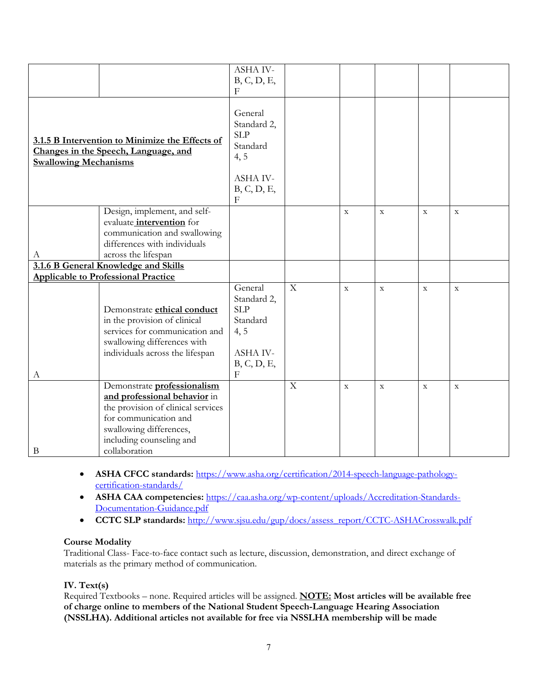|                                                                                                                         |                                                                                                                                                                                                    | <b>ASHA IV-</b><br>B, C, D, E,<br>$\boldsymbol{\mathrm{F}}$                                              |                |                |              |              |             |
|-------------------------------------------------------------------------------------------------------------------------|----------------------------------------------------------------------------------------------------------------------------------------------------------------------------------------------------|----------------------------------------------------------------------------------------------------------|----------------|----------------|--------------|--------------|-------------|
| 3.1.5 B Intervention to Minimize the Effects of<br>Changes in the Speech, Language, and<br><b>Swallowing Mechanisms</b> |                                                                                                                                                                                                    | General<br>Standard 2,<br><b>SLP</b><br>Standard<br>4, 5<br><b>ASHA IV-</b><br>B, C, D, E,<br>$_{\rm F}$ |                |                |              |              |             |
| А                                                                                                                       | Design, implement, and self-<br>evaluate <i>intervention</i> for<br>communication and swallowing<br>differences with individuals<br>across the lifespan                                            |                                                                                                          |                | $\mathbf X$    | $\mathbf X$  | $\mathbf X$  | $\mathbf X$ |
|                                                                                                                         | 3.1.6 B General Knowledge and Skills<br><b>Applicable to Professional Practice</b>                                                                                                                 |                                                                                                          |                |                |              |              |             |
| А                                                                                                                       | Demonstrate ethical conduct<br>in the provision of clinical<br>services for communication and<br>swallowing differences with<br>individuals across the lifespan                                    | General<br>Standard 2,<br><b>SLP</b><br>Standard<br>4, 5<br>ASHA IV-<br>B, C, D, E,<br>$\mathbf{F}$      | $\overline{X}$ | $\overline{X}$ | $\mathbf{x}$ | $\mathbf{x}$ | $\mathbf X$ |
| $\bf{B}$                                                                                                                | Demonstrate professionalism<br>and professional behavior in<br>the provision of clinical services<br>for communication and<br>swallowing differences,<br>including counseling and<br>collaboration |                                                                                                          | $\mathbf X$    | $\mathbf X$    | $\mathbf X$  | $\mathbf x$  | $\mathbf X$ |

- **ASHA CFCC standards:** https://www.asha.org/certification/2014-speech-language-pathologycertification-standards/
- **ASHA CAA competencies:** https://caa.asha.org/wp-content/uploads/Accreditation-Standards-Documentation-Guidance.pdf
- **CCTC SLP standards:** http://www.sjsu.edu/gup/docs/assess\_report/CCTC-ASHACrosswalk.pdf

# **Course Modality**

Traditional Class- Face-to-face contact such as lecture, discussion, demonstration, and direct exchange of materials as the primary method of communication.

# **IV. Text(s)**

Required Textbooks – none. Required articles will be assigned. **NOTE: Most articles will be available free of charge online to members of the National Student Speech-Language Hearing Association (NSSLHA). Additional articles not available for free via NSSLHA membership will be made**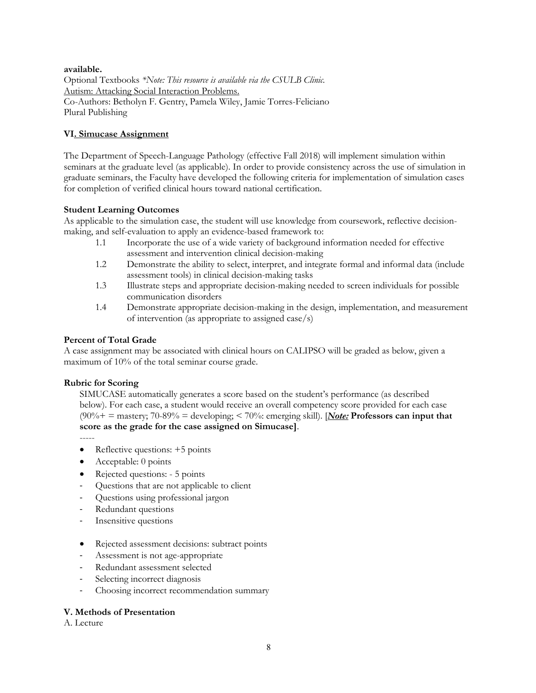### **available.**

Optional Textbooks *\*Note: This resource is available via the CSULB Clinic.*  Autism: Attacking Social Interaction Problems. Co-Authors: Betholyn F. Gentry, Pamela Wiley, Jamie Torres-Feliciano Plural Publishing

### **VI. Simucase Assignment**

The Department of Speech-Language Pathology (effective Fall 2018) will implement simulation within seminars at the graduate level (as applicable). In order to provide consistency across the use of simulation in graduate seminars, the Faculty have developed the following criteria for implementation of simulation cases for completion of verified clinical hours toward national certification.

### **Student Learning Outcomes**

As applicable to the simulation case, the student will use knowledge from coursework, reflective decisionmaking, and self-evaluation to apply an evidence-based framework to:

- 1.1 Incorporate the use of a wide variety of background information needed for effective assessment and intervention clinical decision-making
- 1.2 Demonstrate the ability to select, interpret, and integrate formal and informal data (include assessment tools) in clinical decision-making tasks
- 1.3 Illustrate steps and appropriate decision-making needed to screen individuals for possible communication disorders
- 1.4 Demonstrate appropriate decision-making in the design, implementation, and measurement of intervention (as appropriate to assigned case/s)

### **Percent of Total Grade**

A case assignment may be associated with clinical hours on CALIPSO will be graded as below, given a maximum of 10% of the total seminar course grade.

### **Rubric for Scoring**

SIMUCASE automatically generates a score based on the student's performance (as described below). For each case, a student would receive an overall competency score provided for each case (90%+ = mastery; 70-89% = developing; < 70%: emerging skill). [*Note:* **Professors can input that score as the grade for the case assigned on Simucase]**.

-----

- Reflective questions: +5 points
- Acceptable: 0 points
- Rejected questions: 5 points
- Questions that are not applicable to client
- Questions using professional jargon
- Redundant questions
- Insensitive questions
- Rejected assessment decisions: subtract points
- Assessment is not age-appropriate
- Redundant assessment selected
- Selecting incorrect diagnosis
- Choosing incorrect recommendation summary

### **V. Methods of Presentation**

A. Lecture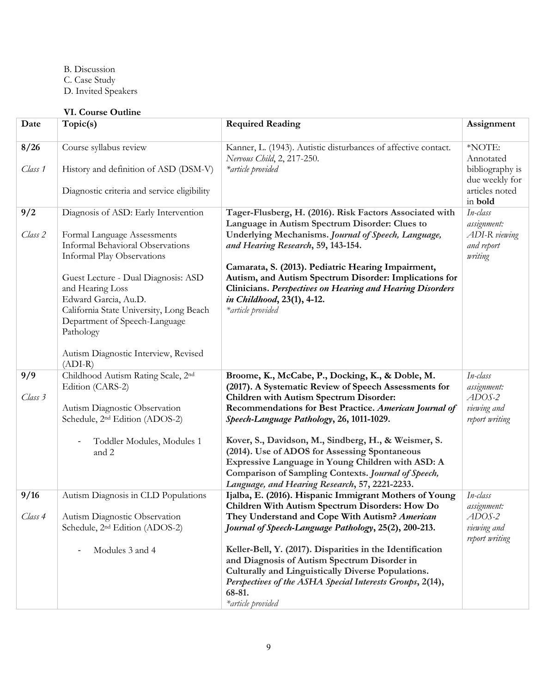B. Discussion

- C. Case Study
- D. Invited Speakers

# **VI. Course Outline**

| Date            | Topic(s)                                                                                                                                                                 | <b>Required Reading</b>                                                                                                                                                                                                                                             | Assignment                                                                 |
|-----------------|--------------------------------------------------------------------------------------------------------------------------------------------------------------------------|---------------------------------------------------------------------------------------------------------------------------------------------------------------------------------------------------------------------------------------------------------------------|----------------------------------------------------------------------------|
| 8/26<br>Class 1 | Course syllabus review<br>History and definition of ASD (DSM-V)<br>Diagnostic criteria and service eligibility                                                           | Kanner, L. (1943). Autistic disturbances of affective contact.<br>Nervous Child, 2, 217-250.<br>*article provided                                                                                                                                                   | *NOTE:<br>Annotated<br>bibliography is<br>due weekly for<br>articles noted |
| 9/2             | Diagnosis of ASD: Early Intervention                                                                                                                                     | Tager-Flusberg, H. (2016). Risk Factors Associated with<br>Language in Autism Spectrum Disorder: Clues to                                                                                                                                                           | in bold<br>In-class<br>assignment:                                         |
| Class 2         | Formal Language Assessments<br><b>Informal Behavioral Observations</b><br><b>Informal Play Observations</b>                                                              | Underlying Mechanisms. Journal of Speech, Language,<br>and Hearing Research, 59, 143-154.                                                                                                                                                                           | ADI-R viewing<br>and report<br>writing                                     |
|                 | Guest Lecture - Dual Diagnosis: ASD<br>and Hearing Loss<br>Edward Garcia, Au.D.<br>California State University, Long Beach<br>Department of Speech-Language<br>Pathology | Camarata, S. (2013). Pediatric Hearing Impairment,<br>Autism, and Autism Spectrum Disorder: Implications for<br>Clinicians. Perspectives on Hearing and Hearing Disorders<br>in Childhood, 23(1), 4-12.<br>*article provided                                        |                                                                            |
|                 | Autism Diagnostic Interview, Revised<br>$(ADI-R)$                                                                                                                        |                                                                                                                                                                                                                                                                     |                                                                            |
| 9/9<br>Class 3  | Childhood Autism Rating Scale, 2 <sup>nd</sup><br>Edition (CARS-2)<br>Autism Diagnostic Observation<br>Schedule, 2 <sup>nd</sup> Edition (ADOS-2)                        | Broome, K., McCabe, P., Docking, K., & Doble, M.<br>(2017). A Systematic Review of Speech Assessments for<br>Children with Autism Spectrum Disorder:<br>Recommendations for Best Practice. American Journal of<br>Speech-Language Pathology, 26, 1011-1029.         | In-class<br>assignment:<br>$ADOS-2$<br>viewing and<br>report writing       |
|                 | Toddler Modules, Modules 1<br>and 2                                                                                                                                      | Kover, S., Davidson, M., Sindberg, H., & Weismer, S.<br>(2014). Use of ADOS for Assessing Spontaneous<br>Expressive Language in Young Children with ASD: A<br>Comparison of Sampling Contexts. Journal of Speech,<br>Language, and Hearing Research, 57, 2221-2233. |                                                                            |
| 9/16            | Autism Diagnosis in CLD Populations                                                                                                                                      | Ijalba, E. (2016). Hispanic Immigrant Mothers of Young<br>Children With Autism Spectrum Disorders: How Do                                                                                                                                                           | In-class<br>assignment:                                                    |
| Class 4         | Autism Diagnostic Observation<br>Schedule, 2 <sup>nd</sup> Edition (ADOS-2)                                                                                              | They Understand and Cope With Autism? American<br>Journal of Speech-Language Pathology, 25(2), 200-213.                                                                                                                                                             | ADOS-2<br>viewing and<br>report writing                                    |
|                 | Modules 3 and 4                                                                                                                                                          | Keller-Bell, Y. (2017). Disparities in the Identification<br>and Diagnosis of Autism Spectrum Disorder in<br>Culturally and Linguistically Diverse Populations.<br>Perspectives of the ASHA Special Interests Groups, 2(14),<br>68-81.<br>*article provided         |                                                                            |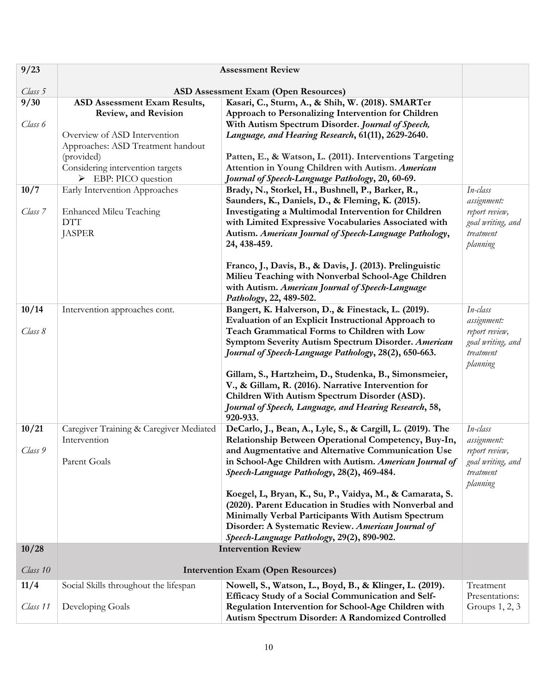| 9/23             | <b>Assessment Review</b>                                                                                                                                               |                                                                                                                                                                                                                                                                                                                                                             |                                                                                         |  |  |  |
|------------------|------------------------------------------------------------------------------------------------------------------------------------------------------------------------|-------------------------------------------------------------------------------------------------------------------------------------------------------------------------------------------------------------------------------------------------------------------------------------------------------------------------------------------------------------|-----------------------------------------------------------------------------------------|--|--|--|
| Class 5          |                                                                                                                                                                        | <b>ASD Assessment Exam (Open Resources)</b>                                                                                                                                                                                                                                                                                                                 |                                                                                         |  |  |  |
| 9/30             | ASD Assessment Exam Results,                                                                                                                                           | Kasari, C., Sturm, A., & Shih, W. (2018). SMARTer                                                                                                                                                                                                                                                                                                           |                                                                                         |  |  |  |
| Class 6          | Review, and Revision<br>Overview of ASD Intervention<br>Approaches: ASD Treatment handout<br>(provided)<br>Considering intervention targets<br>EBP: PICO question<br>➤ | Approach to Personalizing Intervention for Children<br>With Autism Spectrum Disorder. Journal of Speech,<br>Language, and Hearing Research, 61(11), 2629-2640.<br>Patten, E., & Watson, L. (2011). Interventions Targeting<br>Attention in Young Children with Autism. American<br>Journal of Speech-Language Pathology, 20, 60-69.                         |                                                                                         |  |  |  |
| 10/7<br>Class 7  | Early Intervention Approaches<br><b>Enhanced Mileu Teaching</b><br><b>DTT</b><br><b>JASPER</b>                                                                         | Brady, N., Storkel, H., Bushnell, P., Barker, R.,<br>Saunders, K., Daniels, D., & Fleming, K. (2015).<br>Investigating a Multimodal Intervention for Children<br>with Limited Expressive Vocabularies Associated with<br>Autism. American Journal of Speech-Language Pathology,<br>24, 438-459.<br>Franco, J., Davis, B., & Davis, J. (2013). Prelinguistic | In-class<br>assignment:<br>report review,<br>goal writing, and<br>treatment<br>planning |  |  |  |
|                  |                                                                                                                                                                        | Milieu Teaching with Nonverbal School-Age Children<br>with Autism. American Journal of Speech-Language<br>Pathology, 22, 489-502.                                                                                                                                                                                                                           |                                                                                         |  |  |  |
| 10/14            | Intervention approaches cont.                                                                                                                                          | Bangert, K. Halverson, D., & Finestack, L. (2019).                                                                                                                                                                                                                                                                                                          | In-class                                                                                |  |  |  |
| Class 8          |                                                                                                                                                                        | Evaluation of an Explicit Instructional Approach to<br>Teach Grammatical Forms to Children with Low<br>Symptom Severity Autism Spectrum Disorder. American<br>Journal of Speech-Language Pathology, 28(2), 650-663.                                                                                                                                         | assignment:<br>report review,<br>goal writing, and<br>treatment<br>planning             |  |  |  |
|                  |                                                                                                                                                                        | Gillam, S., Hartzheim, D., Studenka, B., Simonsmeier,<br>V., & Gillam, R. (2016). Narrative Intervention for<br>Children With Autism Spectrum Disorder (ASD).<br>Journal of Speech, Language, and Hearing Research, 58,<br>920-933.                                                                                                                         |                                                                                         |  |  |  |
| 10/21<br>Class 9 | Caregiver Training & Caregiver Mediated<br>Intervention                                                                                                                | DeCarlo, J., Bean, A., Lyle, S., & Cargill, L. (2019). The<br>Relationship Between Operational Competency, Buy-In,<br>and Augmentative and Alternative Communication Use                                                                                                                                                                                    | In-class<br>assignment:                                                                 |  |  |  |
|                  | Parent Goals                                                                                                                                                           | in School-Age Children with Autism. American Journal of<br>Speech-Language Pathology, 28(2), 469-484.                                                                                                                                                                                                                                                       | report review,<br>goal writing, and<br>treatment<br>planning                            |  |  |  |
|                  |                                                                                                                                                                        | Koegel, L, Bryan, K., Su, P., Vaidya, M., & Camarata, S.<br>(2020). Parent Education in Studies with Nonverbal and<br>Minimally Verbal Participants With Autism Spectrum<br>Disorder: A Systematic Review. American Journal of<br>Speech-Language Pathology, 29(2), 890-902.                                                                                |                                                                                         |  |  |  |
| 10/28            |                                                                                                                                                                        | <b>Intervention Review</b>                                                                                                                                                                                                                                                                                                                                  |                                                                                         |  |  |  |
| Class 10         |                                                                                                                                                                        | <b>Intervention Exam (Open Resources)</b>                                                                                                                                                                                                                                                                                                                   |                                                                                         |  |  |  |
| 11/4<br>Class 11 | Social Skills throughout the lifespan<br>Developing Goals                                                                                                              | Nowell, S., Watson, L., Boyd, B., & Klinger, L. (2019).<br>Efficacy Study of a Social Communication and Self-<br>Regulation Intervention for School-Age Children with<br>Autism Spectrum Disorder: A Randomized Controlled                                                                                                                                  | Treatment<br>Presentations:<br>Groups $1, 2, 3$                                         |  |  |  |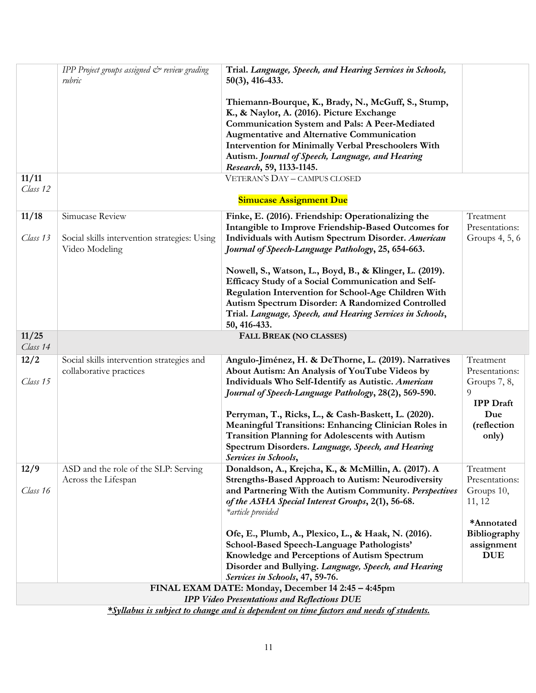|                   | IPP Project groups assigned & review grading<br>rubric                                 | Trial. Language, Speech, and Hearing Services in Schools,<br>$50(3)$ , 416-433.                                                                                                                                                                                                                                                                              |                                                                      |  |  |  |  |
|-------------------|----------------------------------------------------------------------------------------|--------------------------------------------------------------------------------------------------------------------------------------------------------------------------------------------------------------------------------------------------------------------------------------------------------------------------------------------------------------|----------------------------------------------------------------------|--|--|--|--|
|                   |                                                                                        | Thiemann-Bourque, K., Brady, N., McGuff, S., Stump,<br>K., & Naylor, A. (2016). Picture Exchange<br><b>Communication System and Pals: A Peer-Mediated</b><br><b>Augmentative and Alternative Communication</b><br><b>Intervention for Minimally Verbal Preschoolers With</b><br>Autism. Journal of Speech, Language, and Hearing<br>Research, 59, 1133-1145. |                                                                      |  |  |  |  |
| 11/11<br>Class 12 |                                                                                        | VETERAN'S DAY - CAMPUS CLOSED<br><b>Simucase Assignment Due</b>                                                                                                                                                                                                                                                                                              |                                                                      |  |  |  |  |
| 11/18             | Simucase Review                                                                        | Finke, E. (2016). Friendship: Operationalizing the                                                                                                                                                                                                                                                                                                           | Treatment                                                            |  |  |  |  |
|                   |                                                                                        | Intangible to Improve Friendship-Based Outcomes for                                                                                                                                                                                                                                                                                                          | Presentations:                                                       |  |  |  |  |
| Class 13          | Social skills intervention strategies: Using<br>Video Modeling                         | Individuals with Autism Spectrum Disorder. American<br>Journal of Speech-Language Pathology, 25, 654-663.                                                                                                                                                                                                                                                    | Groups $4, 5, 6$                                                     |  |  |  |  |
|                   |                                                                                        | Nowell, S., Watson, L., Boyd, B., & Klinger, L. (2019).<br>Efficacy Study of a Social Communication and Self-<br>Regulation Intervention for School-Age Children With<br>Autism Spectrum Disorder: A Randomized Controlled<br>Trial. Language, Speech, and Hearing Services in Schools,<br>50, 416-433.                                                      |                                                                      |  |  |  |  |
| 11/25<br>Class 14 |                                                                                        | FALL BREAK (NO CLASSES)                                                                                                                                                                                                                                                                                                                                      |                                                                      |  |  |  |  |
| 12/2<br>Class 15  | Social skills intervention strategies and<br>collaborative practices                   | Angulo-Jiménez, H. & DeThorne, L. (2019). Narratives<br>About Autism: An Analysis of YouTube Videos by<br>Individuals Who Self-Identify as Autistic. American<br>Journal of Speech-Language Pathology, 28(2), 569-590.                                                                                                                                       | Treatment<br>Presentations:<br>Groups 7, 8,<br>9<br><b>IPP</b> Draft |  |  |  |  |
|                   |                                                                                        | Perryman, T., Ricks, L., & Cash-Baskett, L. (2020).<br><b>Meaningful Transitions: Enhancing Clinician Roles in</b><br><b>Transition Planning for Adolescents with Autism</b><br>Spectrum Disorders. Language, Speech, and Hearing<br>Services in Schools,                                                                                                    | Due<br>(reflection<br>only)                                          |  |  |  |  |
| 12/9              | ASD and the role of the SLP: Serving                                                   | Donaldson, A., Krejcha, K., & McMillin, A. (2017). A                                                                                                                                                                                                                                                                                                         | Treatment                                                            |  |  |  |  |
| Class 16          | Across the Lifespan                                                                    | <b>Strengths-Based Approach to Autism: Neurodiversity</b><br>and Partnering With the Autism Community. Perspectives<br>of the ASHA Special Interest Groups, 2(1), 56-68.<br>*article provided                                                                                                                                                                | Presentations:<br>Groups 10,<br>11, 12                               |  |  |  |  |
|                   |                                                                                        |                                                                                                                                                                                                                                                                                                                                                              | *Annotated                                                           |  |  |  |  |
|                   |                                                                                        | Ofe, E., Plumb, A., Plexico, L., & Haak, N. (2016).<br>School-Based Speech-Language Pathologists'                                                                                                                                                                                                                                                            | Bibliography<br>assignment                                           |  |  |  |  |
|                   |                                                                                        | Knowledge and Perceptions of Autism Spectrum                                                                                                                                                                                                                                                                                                                 | <b>DUE</b>                                                           |  |  |  |  |
|                   |                                                                                        | Disorder and Bullying. Language, Speech, and Hearing                                                                                                                                                                                                                                                                                                         |                                                                      |  |  |  |  |
|                   |                                                                                        | Services in Schools, 47, 59-76.                                                                                                                                                                                                                                                                                                                              |                                                                      |  |  |  |  |
|                   |                                                                                        | FINAL EXAM DATE: Monday, December 14 2:45 - 4:45pm                                                                                                                                                                                                                                                                                                           |                                                                      |  |  |  |  |
|                   |                                                                                        | <b>IPP Video Presentations and Reflections DUE</b>                                                                                                                                                                                                                                                                                                           |                                                                      |  |  |  |  |
|                   | *Syllabus is subject to change and is dependent on time factors and needs of students. |                                                                                                                                                                                                                                                                                                                                                              |                                                                      |  |  |  |  |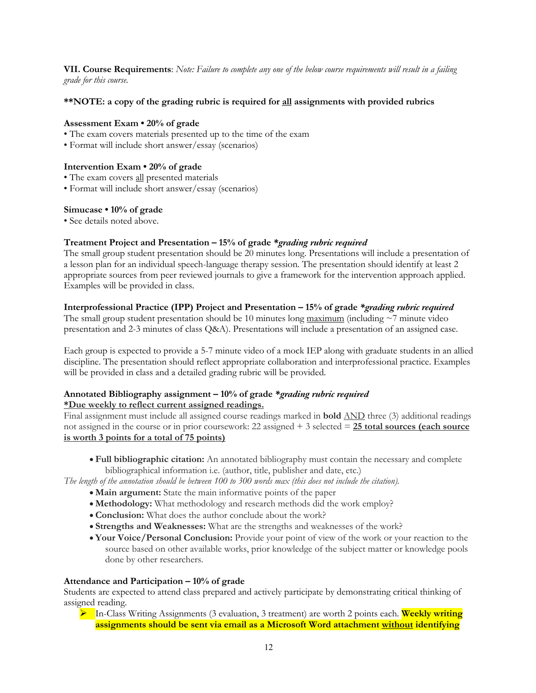**VII. Course Requirements**: *Note: Failure to complete any one of the below course requirements will result in a failing grade for this course.* 

#### **\*\*NOTE: a copy of the grading rubric is required for all assignments with provided rubrics**

#### **Assessment Exam • 20% of grade**

- The exam covers materials presented up to the time of the exam
- Format will include short answer/essay (scenarios)

#### **Intervention Exam • 20% of grade**

- The exam covers all presented materials
- Format will include short answer/essay (scenarios)

#### **Simucase • 10% of grade**

• See details noted above.

#### **Treatment Project and Presentation – 15% of grade** *\*grading rubric required*

The small group student presentation should be 20 minutes long. Presentations will include a presentation of a lesson plan for an individual speech-language therapy session. The presentation should identify at least 2 appropriate sources from peer reviewed journals to give a framework for the intervention approach applied. Examples will be provided in class.

#### **Interprofessional Practice (IPP) Project and Presentation – 15% of grade** *\*grading rubric required*

The small group student presentation should be 10 minutes long  $\frac{maximum}{}$  (including  $\sim$  7 minute video presentation and 2-3 minutes of class Q&A). Presentations will include a presentation of an assigned case.

Each group is expected to provide a 5-7 minute video of a mock IEP along with graduate students in an allied discipline. The presentation should reflect appropriate collaboration and interprofessional practice. Examples will be provided in class and a detailed grading rubric will be provided.

#### **Annotated Bibliography assignment – 10% of grade** *\*grading rubric required* **\*Due weekly to reflect current assigned readings.**

Final assignment must include all assigned course readings marked in **bold** AND three (3) additional readings not assigned in the course or in prior coursework: 22 assigned + 3 selected = **25 total sources (each source is worth 3 points for a total of 75 points)**

• **Full bibliographic citation:** An annotated bibliography must contain the necessary and complete bibliographical information i.e. (author, title, publisher and date, etc.)

*The length of the annotation should be between 100 to 300 words max (this does not include the citation).*

- **Main argument:** State the main informative points of the paper
- **Methodology:** What methodology and research methods did the work employ?
- **Conclusion:** What does the author conclude about the work?
- **Strengths and Weaknesses:** What are the strengths and weaknesses of the work?
- **Your Voice/Personal Conclusion:** Provide your point of view of the work or your reaction to the source based on other available works, prior knowledge of the subject matter or knowledge pools done by other researchers.

#### **Attendance and Participation – 10% of grade**

Students are expected to attend class prepared and actively participate by demonstrating critical thinking of assigned reading.

Ø In-Class Writing Assignments (3 evaluation, 3 treatment) are worth 2 points each. **Weekly writing assignments should be sent via email as a Microsoft Word attachment without identifying**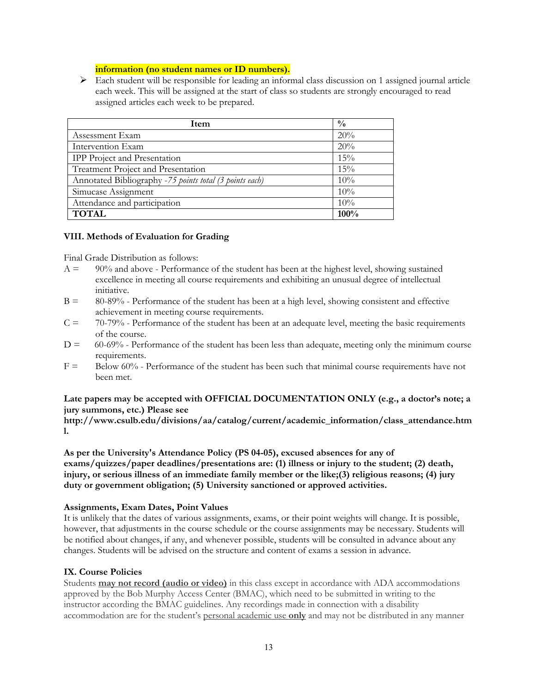### **information (no student names or ID numbers).**

 $\triangleright$  Each student will be responsible for leading an informal class discussion on 1 assigned journal article each week. This will be assigned at the start of class so students are strongly encouraged to read assigned articles each week to be prepared.

| Item                                                    | $\frac{0}{0}$ |
|---------------------------------------------------------|---------------|
| Assessment Exam                                         | 20%           |
| Intervention Exam                                       | 20%           |
| <b>IPP</b> Project and Presentation                     | 15%           |
| Treatment Project and Presentation                      | 15%           |
| Annotated Bibliography -75 points total (3 points each) | 10%           |
| Simucase Assignment                                     | 10%           |
| Attendance and participation                            | $10\%$        |
| <b>TOTAL</b>                                            | 100%          |

#### **VIII. Methods of Evaluation for Grading**

Final Grade Distribution as follows:

- $A = 90\%$  and above Performance of the student has been at the highest level, showing sustained excellence in meeting all course requirements and exhibiting an unusual degree of intellectual initiative.
- B = 80-89% Performance of the student has been at a high level, showing consistent and effective achievement in meeting course requirements.
- $C = 70-79%$  Performance of the student has been at an adequate level, meeting the basic requirements of the course.
- $D = 60-69\%$  Performance of the student has been less than adequate, meeting only the minimum course requirements.
- $F =$  Below 60% Performance of the student has been such that minimal course requirements have not been met.

### **Late papers may be accepted with OFFICIAL DOCUMENTATION ONLY (e.g., a doctor's note; a jury summons, etc.) Please see**

**http://www.csulb.edu/divisions/aa/catalog/current/academic\_information/class\_attendance.htm l.** 

**As per the University's Attendance Policy (PS 04-05), excused absences for any of exams/quizzes/paper deadlines/presentations are: (1) illness or injury to the student; (2) death, injury, or serious illness of an immediate family member or the like;(3) religious reasons; (4) jury duty or government obligation; (5) University sanctioned or approved activities.** 

#### **Assignments, Exam Dates, Point Values**

It is unlikely that the dates of various assignments, exams, or their point weights will change. It is possible, however, that adjustments in the course schedule or the course assignments may be necessary. Students will be notified about changes, if any, and whenever possible, students will be consulted in advance about any changes. Students will be advised on the structure and content of exams a session in advance.

#### **IX. Course Policies**

Students **may not record (audio or video)** in this class except in accordance with ADA accommodations approved by the Bob Murphy Access Center (BMAC), which need to be submitted in writing to the instructor according the BMAC guidelines. Any recordings made in connection with a disability accommodation are for the student's personal academic use **only** and may not be distributed in any manner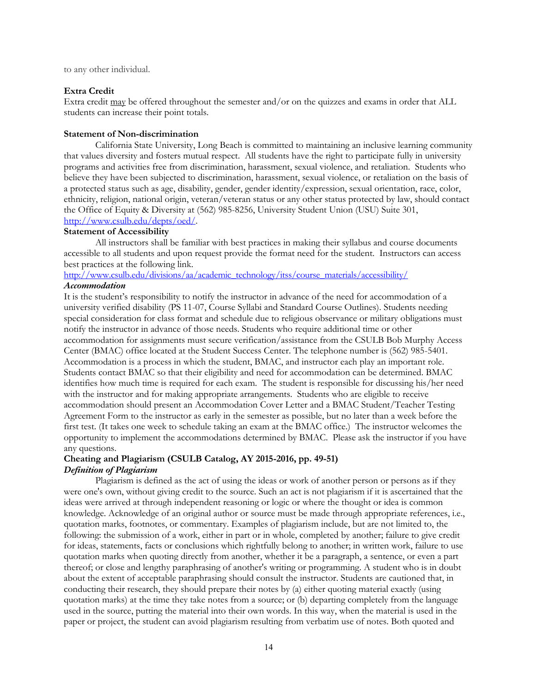to any other individual.

#### **Extra Credit**

Extra credit may be offered throughout the semester and/or on the quizzes and exams in order that ALL students can increase their point totals.

#### **Statement of Non-discrimination**

California State University, Long Beach is committed to maintaining an inclusive learning community that values diversity and fosters mutual respect. All students have the right to participate fully in university programs and activities free from discrimination, harassment, sexual violence, and retaliation. Students who believe they have been subjected to discrimination, harassment, sexual violence, or retaliation on the basis of a protected status such as age, disability, gender, gender identity/expression, sexual orientation, race, color, ethnicity, religion, national origin, veteran/veteran status or any other status protected by law, should contact the Office of Equity & Diversity at (562) 985-8256, University Student Union (USU) Suite 301, http://www.csulb.edu/depts/oed/.

#### **Statement of Accessibility**

All instructors shall be familiar with best practices in making their syllabus and course documents accessible to all students and upon request provide the format need for the student. Instructors can access best practices at the following link.

### http://www.csulb.edu/divisions/aa/academic\_technology/itss/course\_materials/accessibility/ *Accommodation*

It is the student's responsibility to notify the instructor in advance of the need for accommodation of a university verified disability (PS 11-07, Course Syllabi and Standard Course Outlines). Students needing special consideration for class format and schedule due to religious observance or military obligations must notify the instructor in advance of those needs. Students who require additional time or other accommodation for assignments must secure verification/assistance from the CSULB Bob Murphy Access Center (BMAC) office located at the Student Success Center. The telephone number is (562) 985-5401. Accommodation is a process in which the student, BMAC, and instructor each play an important role. Students contact BMAC so that their eligibility and need for accommodation can be determined. BMAC identifies how much time is required for each exam. The student is responsible for discussing his/her need with the instructor and for making appropriate arrangements. Students who are eligible to receive accommodation should present an Accommodation Cover Letter and a BMAC Student/Teacher Testing Agreement Form to the instructor as early in the semester as possible, but no later than a week before the first test. (It takes one week to schedule taking an exam at the BMAC office.) The instructor welcomes the opportunity to implement the accommodations determined by BMAC. Please ask the instructor if you have any questions.

#### **Cheating and Plagiarism (CSULB Catalog, AY 2015-2016, pp. 49-51)** *Definition of Plagiarism*

Plagiarism is defined as the act of using the ideas or work of another person or persons as if they were one's own, without giving credit to the source. Such an act is not plagiarism if it is ascertained that the ideas were arrived at through independent reasoning or logic or where the thought or idea is common knowledge. Acknowledge of an original author or source must be made through appropriate references, i.e., quotation marks, footnotes, or commentary. Examples of plagiarism include, but are not limited to, the following: the submission of a work, either in part or in whole, completed by another; failure to give credit for ideas, statements, facts or conclusions which rightfully belong to another; in written work, failure to use quotation marks when quoting directly from another, whether it be a paragraph, a sentence, or even a part thereof; or close and lengthy paraphrasing of another's writing or programming. A student who is in doubt about the extent of acceptable paraphrasing should consult the instructor. Students are cautioned that, in conducting their research, they should prepare their notes by (a) either quoting material exactly (using quotation marks) at the time they take notes from a source; or (b) departing completely from the language used in the source, putting the material into their own words. In this way, when the material is used in the paper or project, the student can avoid plagiarism resulting from verbatim use of notes. Both quoted and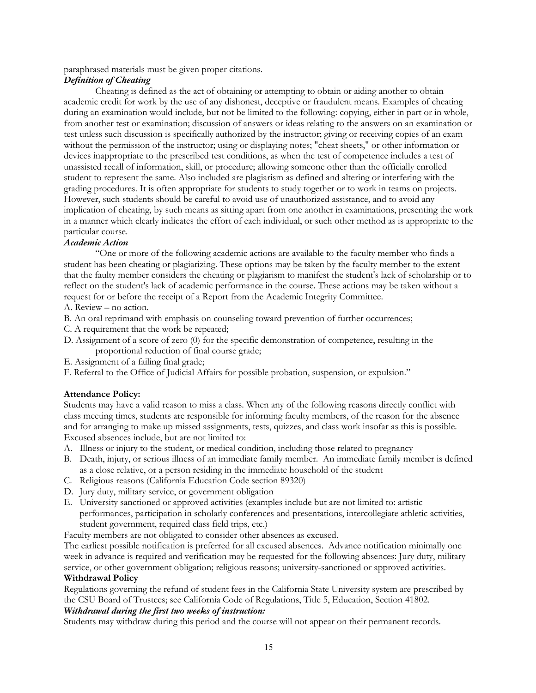paraphrased materials must be given proper citations.

### *Definition of Cheating*

Cheating is defined as the act of obtaining or attempting to obtain or aiding another to obtain academic credit for work by the use of any dishonest, deceptive or fraudulent means. Examples of cheating during an examination would include, but not be limited to the following: copying, either in part or in whole, from another test or examination; discussion of answers or ideas relating to the answers on an examination or test unless such discussion is specifically authorized by the instructor; giving or receiving copies of an exam without the permission of the instructor; using or displaying notes; "cheat sheets," or other information or devices inappropriate to the prescribed test conditions, as when the test of competence includes a test of unassisted recall of information, skill, or procedure; allowing someone other than the officially enrolled student to represent the same. Also included are plagiarism as defined and altering or interfering with the grading procedures. It is often appropriate for students to study together or to work in teams on projects. However, such students should be careful to avoid use of unauthorized assistance, and to avoid any implication of cheating, by such means as sitting apart from one another in examinations, presenting the work in a manner which clearly indicates the effort of each individual, or such other method as is appropriate to the particular course.

### *Academic Action*

"One or more of the following academic actions are available to the faculty member who finds a student has been cheating or plagiarizing. These options may be taken by the faculty member to the extent that the faulty member considers the cheating or plagiarism to manifest the student's lack of scholarship or to reflect on the student's lack of academic performance in the course. These actions may be taken without a request for or before the receipt of a Report from the Academic Integrity Committee.

A. Review – no action.

- B. An oral reprimand with emphasis on counseling toward prevention of further occurrences;
- C. A requirement that the work be repeated;
- D. Assignment of a score of zero (0) for the specific demonstration of competence, resulting in the proportional reduction of final course grade;
- E. Assignment of a failing final grade;
- F. Referral to the Office of Judicial Affairs for possible probation, suspension, or expulsion."

#### **Attendance Policy:**

Students may have a valid reason to miss a class. When any of the following reasons directly conflict with class meeting times, students are responsible for informing faculty members, of the reason for the absence and for arranging to make up missed assignments, tests, quizzes, and class work insofar as this is possible. Excused absences include, but are not limited to:

- A. Illness or injury to the student, or medical condition, including those related to pregnancy
- B. Death, injury, or serious illness of an immediate family member. An immediate family member is defined as a close relative, or a person residing in the immediate household of the student
- C. Religious reasons (California Education Code section 89320)
- D. Jury duty, military service, or government obligation
- E. University sanctioned or approved activities (examples include but are not limited to: artistic performances, participation in scholarly conferences and presentations, intercollegiate athletic activities, student government, required class field trips, etc.)

Faculty members are not obligated to consider other absences as excused.

The earliest possible notification is preferred for all excused absences. Advance notification minimally one week in advance is required and verification may be requested for the following absences: Jury duty, military service, or other government obligation; religious reasons; university-sanctioned or approved activities. **Withdrawal Policy**

Regulations governing the refund of student fees in the California State University system are prescribed by the CSU Board of Trustees; see California Code of Regulations, Title 5, Education, Section 41802.

#### *Withdrawal during the first two weeks of instruction:*

Students may withdraw during this period and the course will not appear on their permanent records.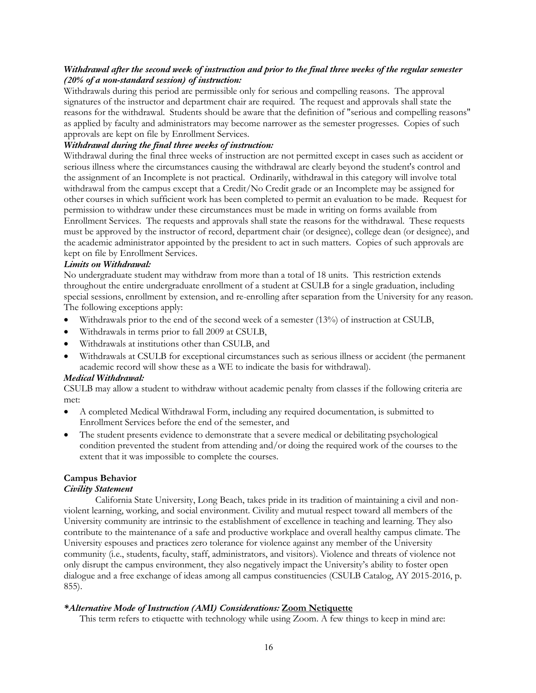### *Withdrawal after the second week of instruction and prior to the final three weeks of the regular semester (20% of a non-standard session) of instruction:*

Withdrawals during this period are permissible only for serious and compelling reasons. The approval signatures of the instructor and department chair are required. The request and approvals shall state the reasons for the withdrawal. Students should be aware that the definition of "serious and compelling reasons" as applied by faculty and administrators may become narrower as the semester progresses. Copies of such approvals are kept on file by Enrollment Services.

### *Withdrawal during the final three weeks of instruction:*

Withdrawal during the final three weeks of instruction are not permitted except in cases such as accident or serious illness where the circumstances causing the withdrawal are clearly beyond the student's control and the assignment of an Incomplete is not practical. Ordinarily, withdrawal in this category will involve total withdrawal from the campus except that a Credit/No Credit grade or an Incomplete may be assigned for other courses in which sufficient work has been completed to permit an evaluation to be made. Request for permission to withdraw under these circumstances must be made in writing on forms available from Enrollment Services. The requests and approvals shall state the reasons for the withdrawal. These requests must be approved by the instructor of record, department chair (or designee), college dean (or designee), and the academic administrator appointed by the president to act in such matters. Copies of such approvals are kept on file by Enrollment Services.

#### *Limits on Withdrawal:*

No undergraduate student may withdraw from more than a total of 18 units. This restriction extends throughout the entire undergraduate enrollment of a student at CSULB for a single graduation, including special sessions, enrollment by extension, and re-enrolling after separation from the University for any reason. The following exceptions apply:

- Withdrawals prior to the end of the second week of a semester (13%) of instruction at CSULB,
- Withdrawals in terms prior to fall 2009 at CSULB,
- Withdrawals at institutions other than CSULB, and
- Withdrawals at CSULB for exceptional circumstances such as serious illness or accident (the permanent academic record will show these as a WE to indicate the basis for withdrawal).

#### *Medical Withdrawal:*

CSULB may allow a student to withdraw without academic penalty from classes if the following criteria are met:

- A completed Medical Withdrawal Form, including any required documentation, is submitted to Enrollment Services before the end of the semester, and
- The student presents evidence to demonstrate that a severe medical or debilitating psychological condition prevented the student from attending and/or doing the required work of the courses to the extent that it was impossible to complete the courses.

# **Campus Behavior**

### *Civility Statement*

California State University, Long Beach, takes pride in its tradition of maintaining a civil and nonviolent learning, working, and social environment. Civility and mutual respect toward all members of the University community are intrinsic to the establishment of excellence in teaching and learning. They also contribute to the maintenance of a safe and productive workplace and overall healthy campus climate. The University espouses and practices zero tolerance for violence against any member of the University community (i.e., students, faculty, staff, administrators, and visitors). Violence and threats of violence not only disrupt the campus environment, they also negatively impact the University's ability to foster open dialogue and a free exchange of ideas among all campus constituencies (CSULB Catalog, AY 2015-2016, p. 855).

### *\*Alternative Mode of Instruction (AMI) Considerations:* **Zoom Netiquette**

This term refers to etiquette with technology while using Zoom. A few things to keep in mind are: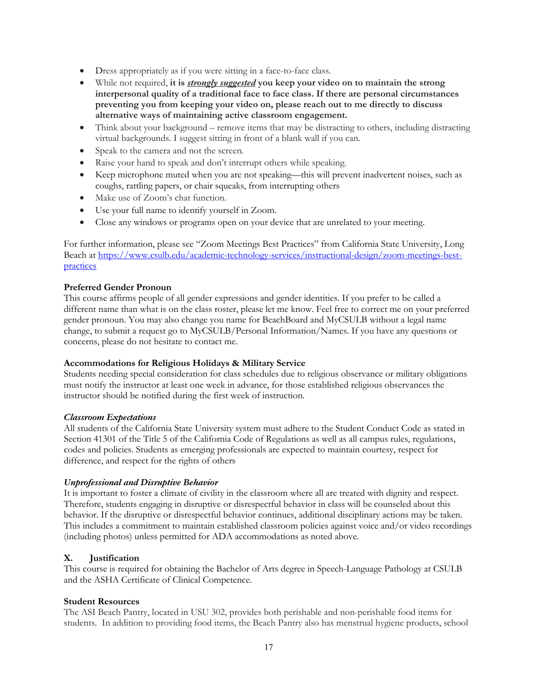- Dress appropriately as if you were sitting in a face-to-face class.
- While not required, **it is** *strongly suggested* **you keep your video on to maintain the strong interpersonal quality of a traditional face to face class. If there are personal circumstances preventing you from keeping your video on, please reach out to me directly to discuss alternative ways of maintaining active classroom engagement.**
- Think about your background remove items that may be distracting to others, including distracting virtual backgrounds. I suggest sitting in front of a blank wall if you can.
- Speak to the camera and not the screen.
- Raise your hand to speak and don't interrupt others while speaking.
- Keep microphone muted when you are not speaking—this will prevent inadvertent noises, such as coughs, rattling papers, or chair squeaks, from interrupting others
- Make use of Zoom's chat function.
- Use your full name to identify yourself in Zoom.
- Close any windows or programs open on your device that are unrelated to your meeting.

For further information, please see "Zoom Meetings Best Practices" from California State University, Long Beach at https://www.csulb.edu/academic-technology-services/instructional-design/zoom-meetings-bestpractices

### **Preferred Gender Pronoun**

This course affirms people of all gender expressions and gender identities. If you prefer to be called a different name than what is on the class roster, please let me know. Feel free to correct me on your preferred gender pronoun. You may also change you name for BeachBoard and MyCSULB without a legal name change, to submit a request go to MyCSULB/Personal Information/Names. If you have any questions or concerns, please do not hesitate to contact me.

### **Accommodations for Religious Holidays & Military Service**

Students needing special consideration for class schedules due to religious observance or military obligations must notify the instructor at least one week in advance, for those established religious observances the instructor should be notified during the first week of instruction.

### *Classroom Expectations*

All students of the California State University system must adhere to the Student Conduct Code as stated in Section 41301 of the Title 5 of the California Code of Regulations as well as all campus rules, regulations, codes and policies. Students as emerging professionals are expected to maintain courtesy, respect for difference, and respect for the rights of others

### *Unprofessional and Disruptive Behavior*

It is important to foster a climate of civility in the classroom where all are treated with dignity and respect. Therefore, students engaging in disruptive or disrespectful behavior in class will be counseled about this behavior. If the disruptive or disrespectful behavior continues, additional disciplinary actions may be taken. This includes a commitment to maintain established classroom policies against voice and/or video recordings (including photos) unless permitted for ADA accommodations as noted above.

### **X.****Justification**

This course is required for obtaining the Bachelor of Arts degree in Speech-Language Pathology at CSULB and the ASHA Certificate of Clinical Competence.

### **Student Resources**

The ASI Beach Pantry, located in USU 302, provides both perishable and non-perishable food items for students. In addition to providing food items, the Beach Pantry also has menstrual hygiene products, school